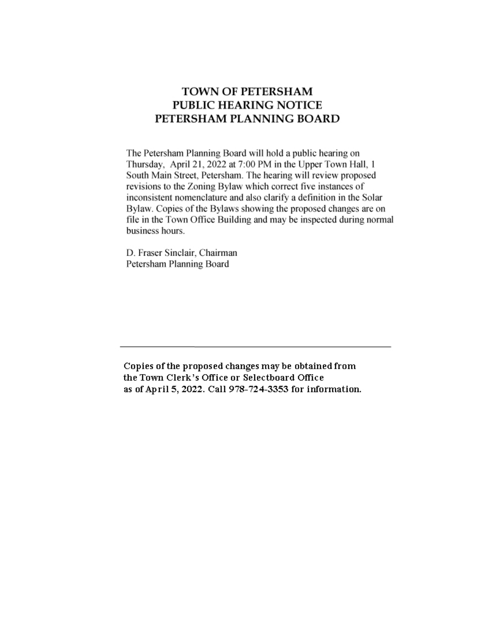# **TOWN OF PETERSHAM PUBLIC HEARING NOTICE** PETERSHAM PLANNING BOARD

The Petersham Planning Board will hold a public hearing on Thursday, April 21, 2022 at 7:00 PM in the Upper Town Hall, 1 South Main Street, Petersham. The hearing will review proposed revisions to the Zoning Bylaw which correct five instances of inconsistent nomenclature and also clarify a definition in the Solar Bylaw. Copies of the Bylaws showing the proposed changes are on file in the Town Office Building and may be inspected during normal business hours.

D. Fraser Sinclair, Chairman Petersham Planning Board

Copies of the proposed changes may be obtained from the Town Clerk's Office or Selectboard Office as of April 5, 2022. Call 978-724-3353 for information.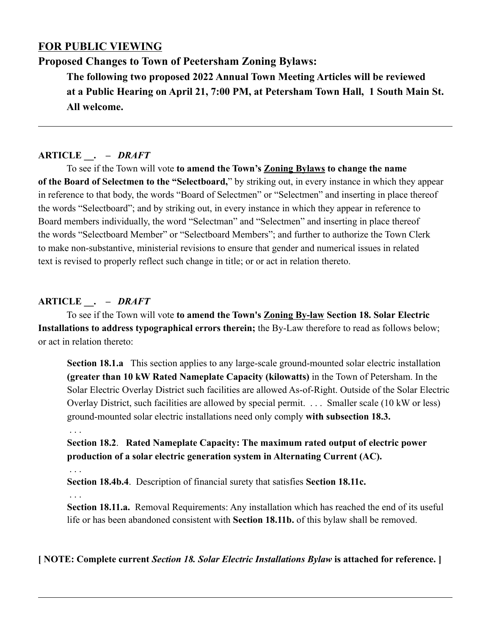# **FOR PUBLIC VIEWING**

**Proposed Changes to Town of Peetersham Zoning Bylaws:** 

**The following two proposed 2022 Annual Town Meeting Articles will be reviewed at a Public Hearing on April 21, 7:00 PM, at Petersham Town Hall, 1 South Main St. All welcome.**

# **ARTICLE \_\_.** *– DRAFT*

To see if the Town will vote **to amend the Town's Zoning Bylaws to change the name of the Board of Selectmen to the "Selectboard,**" by striking out, in every instance in which they appear in reference to that body, the words "Board of Selectmen" or "Selectmen" and inserting in place thereof the words "Selectboard"; and by striking out, in every instance in which they appear in reference to Board members individually, the word "Selectman" and "Selectmen" and inserting in place thereof the words "Selectboard Member" or "Selectboard Members"; and further to authorize the Town Clerk to make non-substantive, ministerial revisions to ensure that gender and numerical issues in related text is revised to properly reflect such change in title; or or act in relation thereto.

# **ARTICLE \_\_.** *– DRAFT*

To see if the Town will vote **to amend the Town's Zoning By-law Section 18. Solar Electric Installations to address typographical errors therein;** the By-Law therefore to read as follows below; or act in relation thereto:

**Section 18.1.a** This section applies to any large-scale ground-mounted solar electric installation **(greater than 10 kW Rated Nameplate Capacity (kilowatts)** in the Town of Petersham. In the Solar Electric Overlay District such facilities are allowed As-of-Right. Outside of the Solar Electric Overlay District, such facilities are allowed by special permit. . . . Smaller scale (10 kW or less) ground-mounted solar electric installations need only comply **with subsection 18.3.**

# . . .

# **Section 18.2**. **Rated Nameplate Capacity: The maximum rated output of electric power production of a solar electric generation system in Alternating Current (AC).**

. . .

**Section 18.4b.4**. Description of financial surety that satisfies **Section 18.11c.**

. . .

**Section 18.11.a.** Removal Requirements: Any installation which has reached the end of its useful life or has been abandoned consistent with **Section 18.11b.** of this bylaw shall be removed.

**[ NOTE: Complete current** *Section 18. Solar Electric Installations Bylaw* **is attached for reference. ]**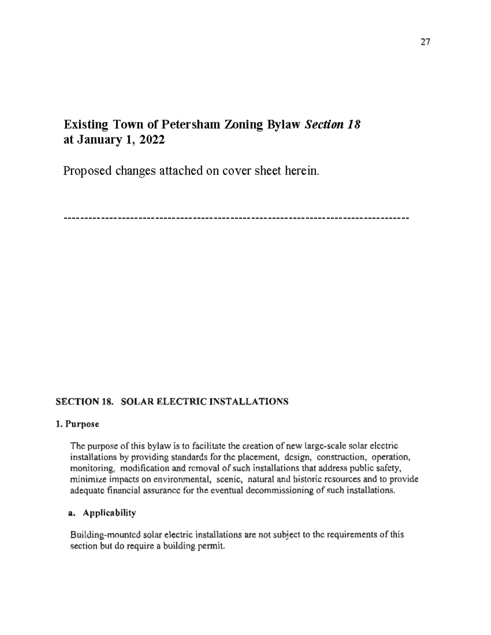# Existing Town of Petersham Zoning Bylaw Section 18 at January 1, 2022

Proposed changes attached on cover sheet herein.

# SECTION 18. SOLAR ELECTRIC INSTALLATIONS

#### 1. Purpose

The purpose of this bylaw is to facilitate the creation of new large-scale solar electric installations by providing standards for the placement, design, construction, operation, monitoring, modification and removal of such installations that address public safety, minimize impacts on environmental, scenic, natural and historic resources and to provide adequate financial assurance for the eventual decommissioning of such installations.

#### a. Applicability

Building-mounted solar electric installations are not subject to the requirements of this section but do require a building permit.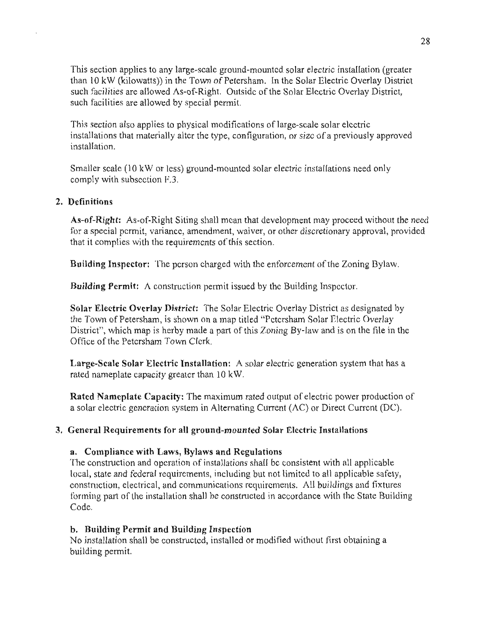This section applies to any large-scale ground-mounted solar electric installation (greater than 10 kW (kilowatts)) in the Town of Petersham. In the Solar Electric Overlay District such facilities are allowed As-of-Right. Outside of the Solar Electric Overlay District, such facilities are allowed by special permit.

This section also applies to physical modifications of large-scale solar electric installations that materially alter the type, configuration, or size of a previously approved installation.

Smaller scale (10 kW or less) ground-mounted solar electric installations need only comply with subsection F.3.

#### 2. Definitions

As-of-Right: As-of-Right Siting shall mean that development may proceed without the need for a special permit, variance, amendment, waiver, or other discretionary approval, provided that it complies with the requirements of this section.

Building Inspector: The person charged with the enforcement of the Zoning Bylaw.

**Building Permit:** A construction permit issued by the Building Inspector.

Solar Electric Overlay District: The Solar Electric Overlay District as designated by the Town of Petersham, is shown on a map titled "Petersham Solar Electric Overlay District", which map is herby made a part of this Zoning By-law and is on the file in the Office of the Petersham Town Clerk.

Large-Scale Solar Electric Installation: A solar electric generation system that has a rated nameplate capacity greater than 10 kW.

**Rated Nameplate Capacity:** The maximum rated output of electric power production of a solar electric generation system in Alternating Current  $(AC)$  or Direct Current (DC).

#### 3. General Requirements for all ground-mounted Solar Electric Installations

#### a. Compliance with Laws, Bylaws and Regulations

The construction and operation of installations shall be consistent with all applicable local, state and federal requirements, including but not limited to all applicable safety. construction, electrical, and communications requirements. All buildings and fixtures forming part of the installation shall be constructed in accordance with the State Building Code.

#### b. Building Permit and Building Inspection

No installation shall be constructed, installed or modified without first obtaining a building permit.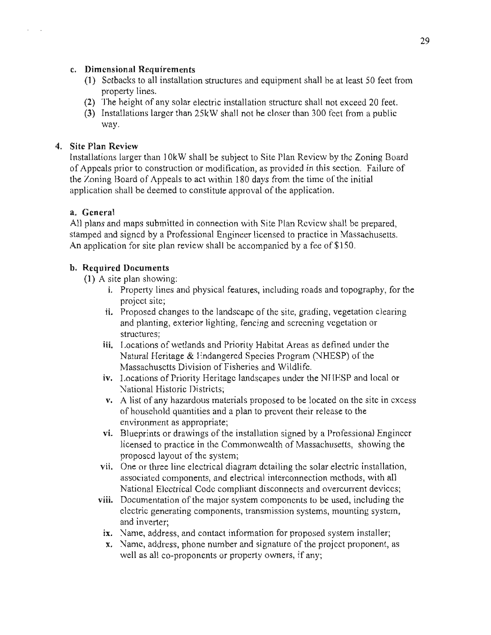#### c. Dimensional Requirements

- (1) Setbacks to all installation structures and equipment shall be at least 50 feet from property lines.
- (2) The height of any solar electric installation structure shall not exceed 20 feet.
- (3) Installations larger than 25kW shall not be closer than 300 fect from a public wav.

# 4. Site Plan Review

Installations larger than 10kW shall be subject to Site Plan Review by the Zoning Board of Appeals prior to construction or modification, as provided in this section. Failure of the Zoning Board of Appeals to act within 180 days from the time of the initial application shall be deemed to constitute approval of the application.

#### a. General

All plans and maps submitted in connection with Site Plan Review shall be prepared, stamped and signed by a Professional Engineer licensed to practice in Massachusetts. An application for site plan review shall be accompanied by a fee of \$150.

#### b. Required Documents

(1) A site plan showing:

- i. Property lines and physical features, including roads and topography, for the project site;
- ii. Proposed changes to the landscape of the site, grading, vegetation clearing and planting, exterior lighting, fencing and screening vegetation or structures:
- iii. Locations of wetlands and Priority Habitat Areas as defined under the Natural Heritage & Endangered Species Program (NHESP) of the Massachusctts Division of Fisheries and Wildlife.
- iv. Locations of Priority Heritage landscapes under the NHESP and local or National Historic Districts;
- v. A list of any hazardous materials proposed to be located on the site in excess of household quantities and a plan to prevent their release to the environment as appropriate;
- vi. Blueprints or drawings of the installation signed by a Professional Engineer licensed to practice in the Commonwealth of Massachusetts, showing the proposed layout of the system;
- vii. One or three line electrical diagram detailing the solar electric installation, associated components, and electrical interconnection methods, with all National Electrical Code compliant disconnects and overcurrent devices;
- viii. Documentation of the major system components to be used, including the electric generating components, transmission systems, mounting system, and inverter:
	- ix. Name, address, and contact information for proposed system installer;
	- x. Name, address, phone number and signature of the project proponent, as well as all co-proponents or property owners, if any;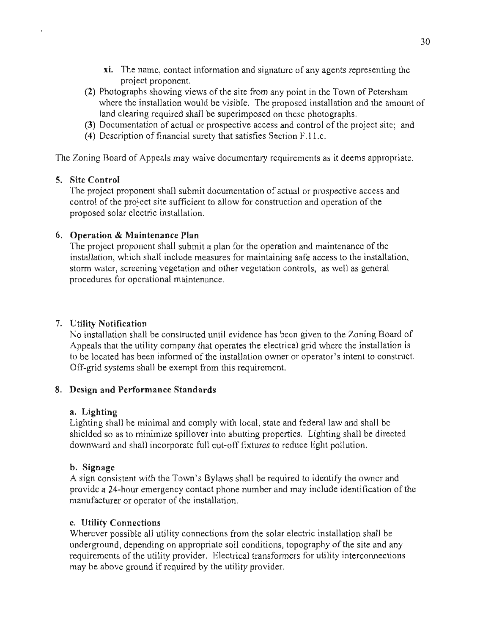- xi. The name, contact information and signature of any agents representing the project proponent.
- (2) Photographs showing views of the site from any point in the Town of Petersham where the installation would be visible. The proposed installation and the amount of land clearing required shall be superimposed on these photographs.
- (3) Documentation of actual or prospective access and control of the project site; and
- (4) Description of financial surety that satisfies Section F.11.c.

The Zoning Board of Appeals may waive documentary requirements as it deems appropriate.

# 5. Site Control

The project proponent shall submit documentation of actual or prospective access and control of the project site sufficient to allow for construction and operation of the proposed solar clectric installation.

# 6. Operation & Maintenance Plan

The project proponent shall submit a plan for the operation and maintenance of the installation, which shall include measures for maintaining safe access to the installation, storm water, screening vegetation and other vegetation controls, as well as general procedures for operational maintenance.

# 7. Utility Notification

No installation shall be constructed until evidence has been given to the Zoning Board of Appeals that the utility company that operates the electrical grid where the installation is to be located has been informed of the installation owner or operator's intent to construct. Off-grid systems shall be exempt from this requirement.

#### 8. Design and Performance Standards

#### a. Lighting

Lighting shall be minimal and comply with local, state and federal law and shall be shielded so as to minimize spillover into abutting properties. Lighting shall be directed downward and shall incorporate full cut-off fixtures to reduce light pollution.

#### b. Signage

A sign consistent with the Town's Bylaws shall be required to identify the owner and provide a 24-hour emergency contact phone number and may include identification of the manufacturer or operator of the installation.

#### c. Utility Connections

Wherever possible all utility connections from the solar electric installation shall be underground, depending on appropriate soil conditions, topography of the site and any requirements of the utility provider. Electrical transformers for utility interconnections may be above ground if required by the utility provider.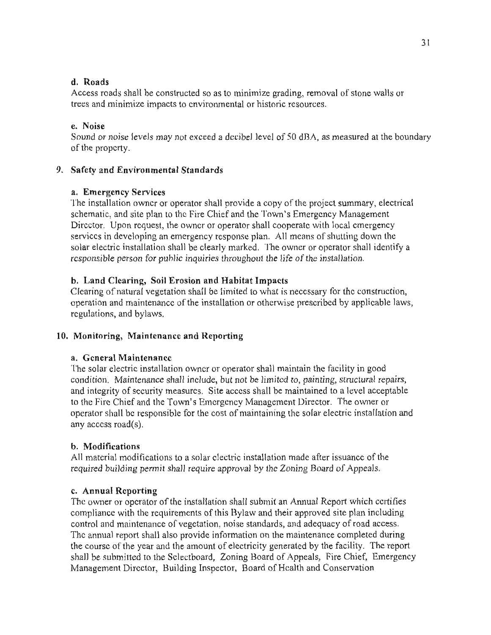#### d. Roads

Access roads shall be constructed so as to minimize grading, removal of stone walls or trees and minimize impacts to environmental or historic resources.

# e Noise

Sound or noise levels may not exceed a decibel level of 50 dBA, as measured at the boundary of the property.

# 9. Safety and Environmental Standards

# a. Emergency Services

The installation owner or operator shall provide a copy of the project summary, electrical schematic, and site plan to the Fire Chief and the Town's Emergency Management Director. Upon request, the owner or operator shall cooperate with local emergency services in developing an emergency response plan. All means of shutting down the solar electric installation shall be clearly marked. The owner or operator shall identify a responsible person for public inquiries throughout the life of the installation.

# b. Land Clearing, Soil Erosion and Habitat Impacts

Clearing of natural vegetation shall be limited to what is necessary for the construction, operation and maintenance of the installation or otherwise prescribed by applicable laws, regulations, and bylaws.

# 10. Monitoring, Maintenance and Reporting

# a. General Maintenance

The solar electric installation owner or operator shall maintain the facility in good condition. Maintenance shall include, but not be limited to, painting, structural repairs, and integrity of security measures. Site access shall be maintained to a level acceptable to the Fire Chief and the Town's Emergency Management Director. The owner or operator shall be responsible for the cost of maintaining the solar electric installation and any access road(s).

#### b. Modifications

All material modifications to a solar electric installation made after issuance of the required building permit shall require approval by the Zoning Board of Appeals.

# c. Annual Reporting

The owner or operator of the installation shall submit an Annual Report which certifies compliance with the requirements of this Bylaw and their approved site plan including control and maintenance of vegetation, noise standards, and adequacy of road access. The annual report shall also provide information on the maintenance completed during the course of the year and the amount of electricity generated by the facility. The report shall be submitted to the Sclectboard, Zoning Board of Appeals, Fire Chief, Emergency Management Director, Building Inspector, Board of Health and Conservation